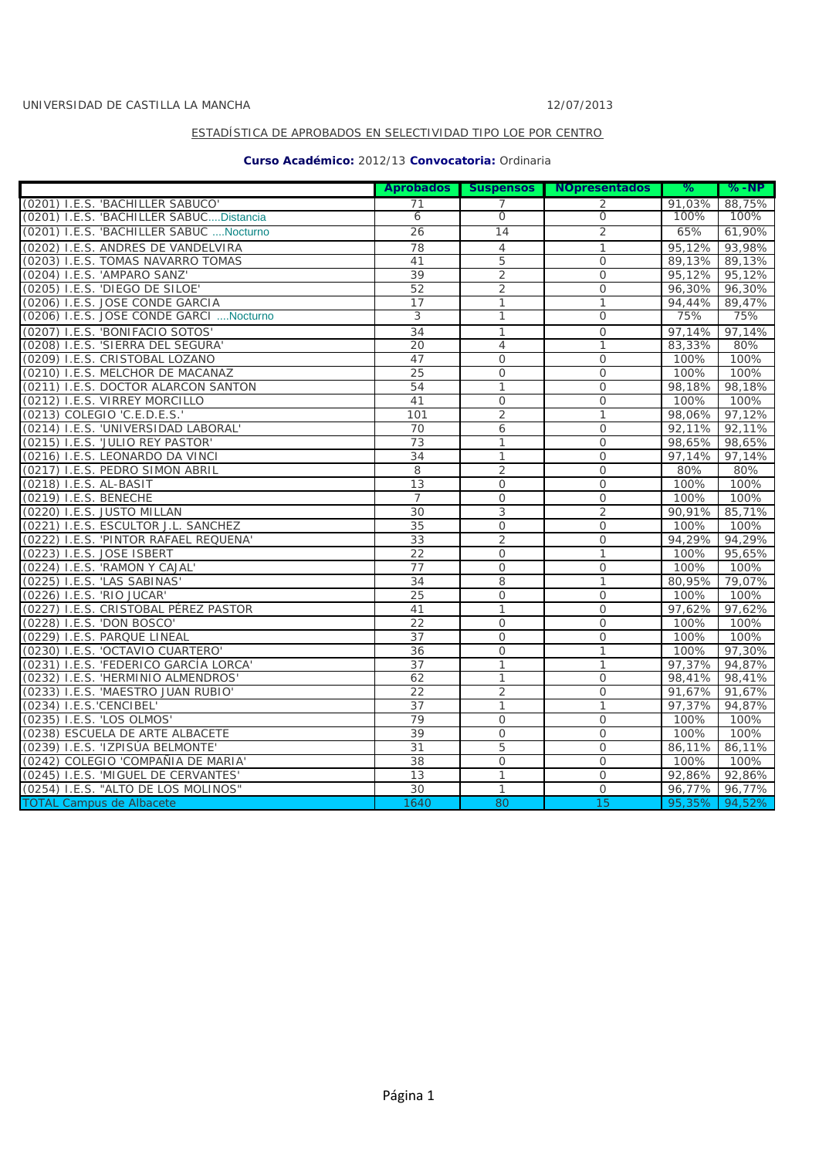|                                          | <b>Aprobados</b> |                | Suspensos NOpresentados | ℅      | $% - NP$ |
|------------------------------------------|------------------|----------------|-------------------------|--------|----------|
| (0201) I.E.S. 'BACHILLER SABUCO'         | 71               |                | 2                       | 91,03% | 88,75%   |
| (0201) I.E.S. 'BACHILLER SABUCDistancia  | 6                | $\overline{0}$ | $\overline{0}$          | 100%   | 100%     |
| (0201) I.E.S. 'BACHILLER SABUC  Nocturno | 26               | 14             | $\overline{2}$          | 65%    | 61,90%   |
| (0202) I.E.S. ANDRES DE VANDELVIRA       | 78               | $\overline{4}$ | $\mathbf{1}$            | 95.12% | 93,98%   |
| (0203) I.E.S. TOMAS NAVARRO TOMAS        | 41               | 5              | $\mathcal{O}$           | 89,13% | 89,13%   |
| (0204) I.E.S. 'AMPARO SANZ'              | 39               | $\overline{2}$ | $\Omega$                | 95.12% | 95,12%   |
| (0205) I.E.S. 'DIEGO DE SILOE'           | 52               | $\overline{2}$ | $\mathbf{O}$            | 96,30% | 96,30%   |
| (0206) I.E.S. JOSE CONDE GARCIA          | 17               | $\mathbf{1}$   | $\mathbf{1}$            | 94,44% | 89,47%   |
| (0206) I.E.S. JOSE CONDE GARCI  Nocturno | 3                | 1              | $\overline{0}$          | 75%    | 75%      |
| (0207) I.E.S. 'BONIFACIO SOTOS'          | 34               | $\mathbf{1}$   | $\mathcal{O}$           | 97,14% | 97,14%   |
| (0208) I.E.S. 'SIERRA DEL SEGURA'        | 20               | $\overline{4}$ | $\mathbf{1}$            | 83,33% | 80%      |
| (0209) I.E.S. CRISTOBAL LOZANO           | 47               | $\Omega$       | $\Omega$                | 100%   | 100%     |
| (0210) I.E.S. MELCHOR DE MACANAZ         | 25               | $\circ$        | $\mathbf{O}$            | 100%   | 100%     |
| (0211) I.E.S. DOCTOR ALARCON SANTON      | 54               | $\mathbf{1}$   | $\mathcal{O}$           | 98,18% | 98,18%   |
| (0212) I.E.S. VIRREY MORCILLO            | 41               | $\mathcal{O}$  | $\mathcal{O}$           | 100%   | 100%     |
| (0213) COLEGIO 'C.E.D.E.S.'              | 101              | $\overline{2}$ | 1                       | 98,06% | 97,12%   |
| (0214) I.E.S. 'UNIVERSIDAD LABORAL'      | 70               | 6              | $\mathbf 0$             | 92,11% | 92,11%   |
| (0215) I.E.S. 'JULIO REY PASTOR'         | 73               | 1              | $\Omega$                | 98,65% | 98,65%   |
| (0216) I.E.S. LEONARDO DA VINCI          | 34               | 1              | $\mathcal{O}$           | 97,14% | 97,14%   |
| (0217) I.E.S. PEDRO SIMON ABRIL          | 8                | $\overline{2}$ | $\overline{O}$          | 80%    | 80%      |
| (0218) I.E.S. AL-BASIT                   | 13               | $\mathcal{O}$  | $\overline{O}$          | 100%   | 100%     |
| (0219) I.E.S. BENECHE                    | $\overline{7}$   | $\mathbf 0$    | $\mathcal{O}$           | 100%   | 100%     |
| (0220) I.E.S. JUSTO MILLAN               | 30               | 3              | $\overline{2}$          | 90,91% | 85,71%   |
| (0221) I.E.S. ESCULTOR J.L. SANCHEZ      | 35               | $\overline{O}$ | $\mathcal{O}$           | 100%   | 100%     |
| (0222) I.E.S. 'PINTOR RAFAEL REQUENA'    | 33               | $\overline{2}$ | $\overline{O}$          | 94,29% | 94,29%   |
| (0223) I.E.S. JOSE ISBERT                | 22               | $\mathcal{O}$  | $\mathbf{1}$            | 100%   | 95,65%   |
| (0224) I.E.S. 'RAMON Y CAJAL'            | 77               | $\Omega$       | $\circ$                 | 100%   | 100%     |
| (0225) I.E.S. 'LAS SABINAS'              | 34               | 8              | $\mathbf{1}$            | 80,95% | 79,07%   |
| (0226) I.E.S. 'RIO JUCAR'                | 25               | $\overline{O}$ | $\mathcal{O}$           | 100%   | 100%     |
| (0227) I.E.S. CRISTOBAL PÉREZ PASTOR     | 41               | 1              | $\circ$                 | 97,62% | 97,62%   |
| (0228) I.E.S. 'DON BOSCO'                | 22               | $\mathcal{O}$  | $\mathbf 0$             | 100%   | 100%     |
| (0229) I.E.S. PARQUE LINEAL              | 37               | $\overline{O}$ | 0                       | 100%   | 100%     |
| (0230) I.E.S. 'OCTAVIO CUARTERO'         | 36               | $\circ$        | $\mathbf{1}$            | 100%   | 97,30%   |
| (0231) I.E.S. 'FEDERICO GARCÍA LORCA'    | 37               | $\mathbf{1}$   | $\mathbf{1}$            | 97,37% | 94,87%   |
| (0232) I.E.S. 'HERMINIO ALMENDROS'       | 62               | $\mathbf{1}$   | $\mathbf 0$             | 98,41% | 98,41%   |
| (0233) I.E.S. 'MAESTRO JUAN RUBIO'       | 22               | 2              | $\mathcal{O}$           | 91,67% | 91,67%   |
| (0234) I.E.S.'CENCIBEL'                  | 37               | $\mathbf{1}$   | 1                       | 97,37% | 94,87%   |
| (0235) I.E.S. 'LOS OLMOS'                | 79               | $\Omega$       | $\mathbf 0$             | 100%   | 100%     |
| (0238) ESCUELA DE ARTE ALBACETE          | 39               | $\mathcal{O}$  | $\mathcal{O}$           | 100%   | 100%     |
| (0239) I.E.S. 'IZPISÚA BELMONTE'         | 31               | 5              | $\mathsf O$             | 86,11% | 86,11%   |
| (0242) COLEGIO 'COMPAÑIA DE MARIA'       | 38               | $\circ$        | $\circ$                 | 100%   | 100%     |
| (0245) I.E.S. 'MIGUEL DE CERVANTES'      | 13               | 1              | $\mathbf 0$             | 92,86% | 92,86%   |
| (0254) I.E.S. "ALTO DE LOS MOLINOS"      | 30               | $\mathbf{1}$   | $\mathsf O$             | 96,77% | 96,77%   |
| <b>TOTAL Campus de Albacete</b>          | 1640             | 80             | 15                      | 95,35% | 94,52%   |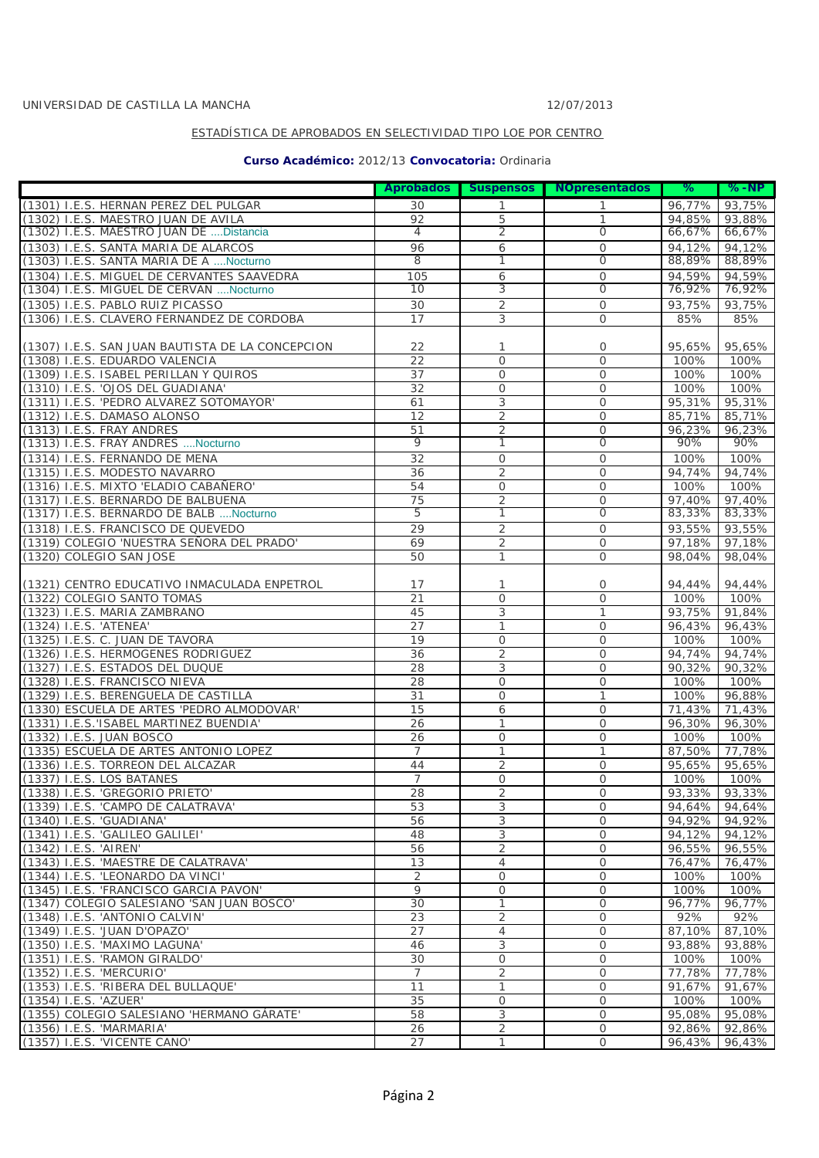|                                                                        | Aprobados      |                               | Suspensos NOpresentados       | ℅                | $% - NP$                |
|------------------------------------------------------------------------|----------------|-------------------------------|-------------------------------|------------------|-------------------------|
| (1301) I.E.S. HERNAN PEREZ DEL PULGAR                                  | 30             | 1                             | 1                             | 96,77%           | 93,75%                  |
| (1302) I.E.S. MAESTRO JUAN DE AVILA                                    | 92             | 5                             | $\mathbf{1}$                  | 94,85%           | 93,88%                  |
| (1302) I.E.S. MAESTRO JUAN DE  Distancia                               | 4              | 2                             | $\circ$                       | 66,67%           | 66,67%                  |
| (1303) I.E.S. SANTA MARIA DE ALARCOS                                   | 96             | 6                             | $\overline{O}$                | 94,12%           | 94,12%                  |
| (1303) I.E.S. SANTA MARIA DE A  Nocturno                               | 8              | 1                             | $\circ$                       | 88,89%           | 88,89%                  |
| (1304) I.E.S. MIGUEL DE CERVANTES SAAVEDRA                             | 105            | 6                             | $\overline{O}$                | 94,59%           | 94,59%                  |
| (1304) I.E.S. MIGUEL DE CERVAN  Nocturno                               | 10             | 3                             | $\overline{O}$                | 76,92%           | 76,92%                  |
| (1305) I.E.S. PABLO RUIZ PICASSO                                       | 30             | $\overline{2}$                | $\mathbf 0$                   | 93,75%           | 93,75%                  |
| (1306) I.E.S. CLAVERO FERNANDEZ DE CORDOBA                             | 17             | 3                             | $\overline{O}$                | 85%              | 85%                     |
|                                                                        |                |                               |                               |                  |                         |
| (1307) I.E.S. SAN JUAN BAUTISTA DE LA CONCEPCION                       | 22             | $\mathbf{1}$                  | 0                             | 95,65%           | 95,65%                  |
| (1308) I.E.S. EDUARDO VALENCIA                                         | 22             | $\mathcal{O}$                 | $\overline{O}$                | 100%             | 100%                    |
| (1309) I.E.S. ISABEL PERILLAN Y QUIROS                                 | 37             | $\mathcal{O}$                 | $\overline{O}$                | 100%             | 100%                    |
| (1310) I.E.S. 'OJOS DEL GUADIANA'                                      | 32             | $\circ$<br>3                  | $\circ$<br>$\mathcal{O}$      | 100%             | 100%                    |
| (1311) I.E.S. 'PEDRO ALVAREZ SOTOMAYOR'<br>(1312) I.E.S. DAMASO ALONSO | 61<br>12       | $\overline{2}$                | $\overline{O}$                | 95,31%<br>85,71% | 95,31%<br>85,71%        |
| (1313) I.E.S. FRAY ANDRES                                              | 51             | $\overline{2}$                | $\overline{O}$                | 96,23%           | 96,23%                  |
| (1313) I.E.S. FRAY ANDRES  Nocturno                                    | 9              | 1                             | $\overline{O}$                | 90%              | 90%                     |
| (1314) I.E.S. FERNANDO DE MENA                                         | 32             | $\mathbf 0$                   | $\mathbf 0$                   | 100%             | 100%                    |
| (1315) I.E.S. MODESTO NAVARRO                                          | 36             | $\overline{2}$                | $\overline{O}$                | 94.74%           | 94,74%                  |
| (1316) I.E.S. MIXTO 'ELADIO CABAÑERO'                                  | 54             | $\circ$                       | $\circ$                       | 100%             | 100%                    |
| (1317) I.E.S. BERNARDO DE BALBUENA                                     | 75             | $\overline{2}$                | $\overline{O}$                | 97,40%           | 97,40%                  |
| (1317) I.E.S. BERNARDO DE BALB  Nocturno                               | 5              | 1                             | $\overline{0}$                | 83,33%           | 83,33%                  |
| (1318) I.E.S. FRANCISCO DE QUEVEDO                                     | 29             | $\overline{2}$                | $\overline{O}$                | 93,55%           | 93,55%                  |
| (1319) COLEGIO 'NUESTRA SEÑORA DEL PRADO'                              | 69             | $\sqrt{2}$                    | $\mathbf 0$                   | 97,18%           | 97,18%                  |
| (1320) COLEGIO SAN JOSE                                                | 50             | $\mathbf{1}$                  | $\overline{O}$                | 98.04%           | 98,04%                  |
|                                                                        |                |                               |                               |                  |                         |
| (1321) CENTRO EDUCATIVO INMACULADA ENPETROL                            | 17             | 1                             | 0                             | 94,44%           | 94,44%                  |
| (1322) COLEGIO SANTO TOMAS                                             | 21             | $\Omega$                      | $\overline{O}$                | 100%             | 100%                    |
| (1323) I.E.S. MARIA ZAMBRANO                                           | 45             | 3                             | $\mathbf{1}$                  | 93,75%           | 91,84%                  |
| (1324) I.E.S. 'ATENEA'<br>(1325) I.E.S. C. JUAN DE TAVORA              | 27<br>19       | $\mathbf{1}$<br>$\mathcal{O}$ | $\mathbf 0$<br>$\overline{O}$ | 96,43%<br>100%   | 96,43%<br>100%          |
| (1326) I.E.S. HERMOGENES RODRIGUEZ                                     | 36             | $\overline{2}$                | $\overline{O}$                | 94,74%           | 94,74%                  |
| (1327) I.E.S. ESTADOS DEL DUQUE                                        | 28             | 3                             | $\circ$                       | 90,32%           | 90,32%                  |
| (1328) I.E.S. FRANCISCO NIEVA                                          | 28             | $\mathbf{O}$                  | $\mathcal{O}$                 | 100%             | 100%                    |
| (1329) I.E.S. BERENGUELA DE CASTILLA                                   | 31             | $\mathcal{O}$                 | $\mathbf{1}$                  | 100%             | 96,88%                  |
| (1330) ESCUELA DE ARTES 'PEDRO ALMODOVAR'                              | 15             | 6                             | $\circ$                       | 71,43%           | 71,43%                  |
| (1331) I.E.S.'ISABEL MARTINEZ BUENDIA'                                 | 26             | $\mathbf{1}$                  | $\overline{O}$                | 96,30%           | 96,30%                  |
| (1332) I.E.S. JUAN BOSCO                                               | 26             | $\mathcal{O}$                 | $\mathbf 0$                   | 100%             | 100%                    |
| (1335) ESCUELA DE ARTES ANTONIO LOPEZ                                  | $\overline{7}$ | $\mathbf{1}$                  | 1                             | 87,50%           | 77,78%                  |
| (1336) I.E.S. TORREON DEL ALCAZAR                                      | 44             | 2                             | $\mathcal{O}$                 | 95,65%           | 95,65%                  |
| (1337) I.E.S. LOS BATANES                                              | $\overline{7}$ | $\mathcal{O}$                 | $\overline{O}$                | 100%             | 100%                    |
| (1338) I.E.S. 'GREGORIO PRIETO'                                        | 28             | 2                             | 0                             |                  | 93,33% 93,33%           |
| (1339) I.E.S. 'CAMPO DE CALATRAVA'<br>(1340) I.E.S. 'GUADIANA'         | 53<br>56       | 3<br>3                        | $\mathcal{O}$<br>$\circ$      | 94,92%           | 94,64% 94,64%<br>94,92% |
| (1341) I.E.S. 'GALILEO GALILEI'                                        | 48             | 3                             | $\circ$                       | 94,12%           | 94,12%                  |
| (1342) I.E.S. 'AIREN'                                                  | 56             | $\sqrt{2}$                    | 0                             | 96,55%           | 96,55%                  |
| (1343) I.E.S. 'MAESTRE DE CALATRAVA'                                   | 13             | $\overline{4}$                | $\mathbf 0$                   | 76,47%           | 76,47%                  |
| (1344) I.E.S. 'LEONARDO DA VINCI'                                      | $\overline{2}$ | $\circ$                       | $\circ$                       | 100%             | 100%                    |
| (1345) I.E.S. 'FRANCISCO GARCIA PAVON'                                 | 9              | $\mathbf 0$                   | 0                             | 100%             | 100%                    |
| (1347) COLEGIO SALESIANO 'SAN JUAN BOSCO'                              | 30             | $\mathbf{1}$                  | $\mathcal{O}$                 | 96.77%           | 96,77%                  |
| (1348) I.E.S. 'ANTONIO CALVIN'                                         | 23             | $\overline{2}$                | $\circ$                       | 92%              | 92%                     |
| (1349) I.E.S. 'JUAN D'OPAZO'                                           | 27             | 4                             | $\mathbf 0$                   | 87,10%           | 87,10%                  |
| (1350) I.E.S. 'MAXIMO LAGUNA'                                          | 46             | 3                             | $\mathcal{O}$                 | 93,88%           | 93,88%                  |
| (1351) I.E.S. 'RAMON GIRALDO'                                          | 30             | 0                             | $\circ$                       | 100%             | 100%                    |
| (1352) I.E.S. 'MERCURIO'                                               | $\overline{7}$ | $\overline{2}$                | $\mathbf 0$                   | 77,78%           | 77,78%                  |
| (1353) I.E.S. 'RIBERA DEL BULLAQUE'                                    | 11             | $\mathbf{1}$                  | 0                             | 91,67%           | 91,67%                  |
| (1354) I.E.S. 'AZUER'<br>(1355) COLEGIO SALESIANO 'HERMANO GÁRATE'     | 35<br>58       | 0<br>3                        | $\mathcal{O}$<br>0            | 100%<br>95,08%   | 100%<br>95,08%          |
| (1356) I.E.S. 'MARMARIA'                                               | 26             | $\overline{2}$                | 0                             | 92,86%           | 92,86%                  |
| (1357) I.E.S. 'VICENTE CANO'                                           | 27             | $\mathbf{1}$                  | $\mathcal{O}$                 | 96,43%           | 96,43%                  |
|                                                                        |                |                               |                               |                  |                         |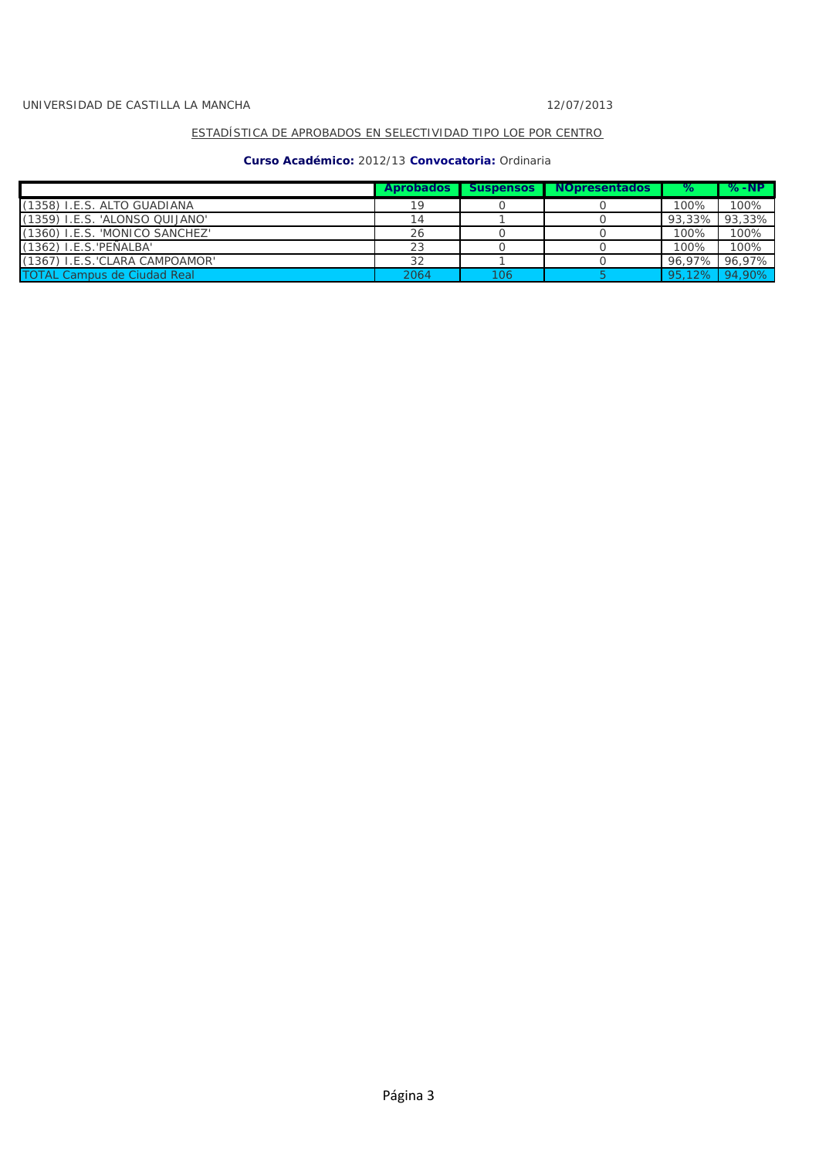|                                    |      |     | Aprobados Suspensos NOpresentados | ℅      | $% - NP$ |
|------------------------------------|------|-----|-----------------------------------|--------|----------|
| (1358) I.E.S. ALTO GUADIANA        |      |     |                                   | 100%   | 100%     |
| (1359) I.E.S. 'ALONSO QUIJANO'     |      |     |                                   | 93,33% | 93,33%   |
| (1360) I.E.S. 'MONICO SANCHEZ'     |      |     |                                   | 100%   | 100%     |
| (1362) I.E.S. PEÑALBA              | 23   |     |                                   | 100%   | 100%     |
| (1367) I.E.S.'CLARA CAMPOAMOR'     | つつ   |     |                                   | 96.97% | 96.97%   |
| <b>TOTAL Campus de Ciudad Real</b> | 2064 | 106 |                                   | 95.12% | 94.90%   |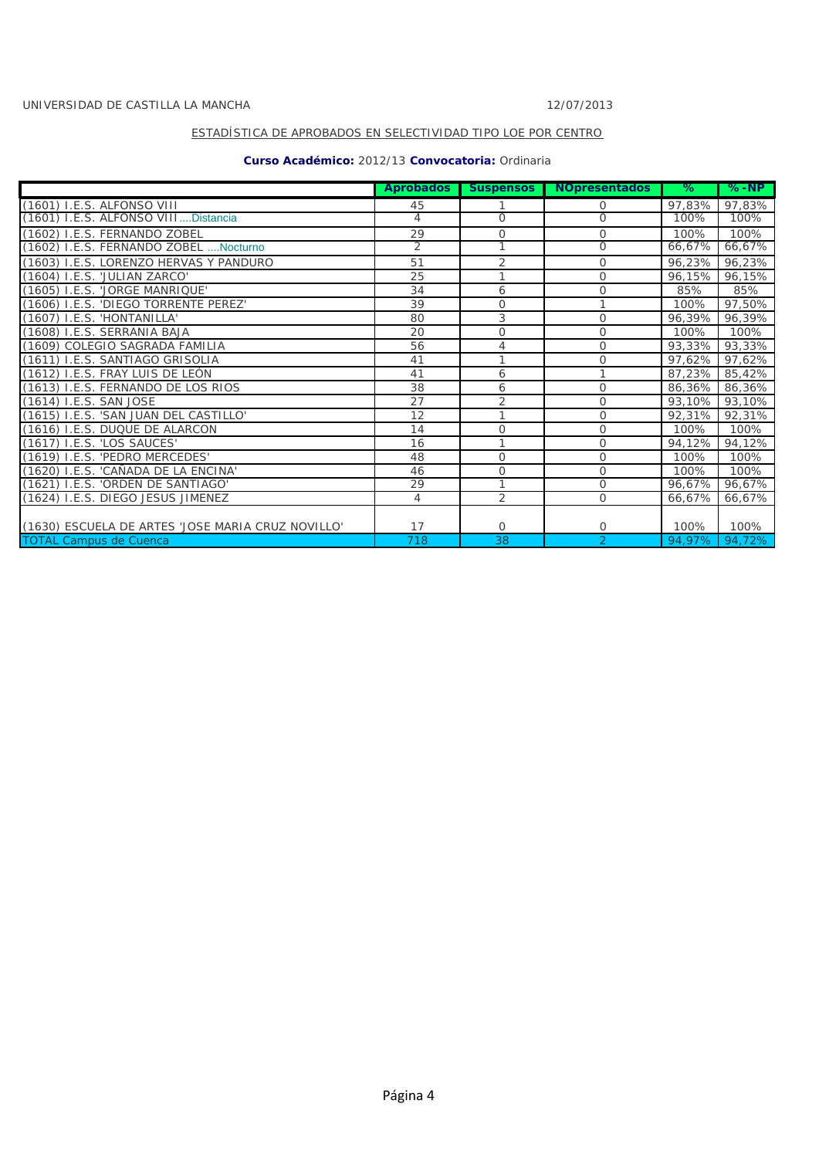|                                                   | <b>Aprobados</b> |                | Suspensos   NOpresentados | ℅      | $% - NP$      |
|---------------------------------------------------|------------------|----------------|---------------------------|--------|---------------|
| (1601) I.E.S. ALFONSO VIII                        | 45               |                | $\Omega$                  | 97,83% | 97,83%        |
| (1601) I.E.S. ALFONSO VIIIDistancia               | 4                | $\Omega$       | $\Omega$                  | 100%   | 100%          |
| (1602) I.E.S. FERNANDO ZOBEL                      | 29               | $\circ$        | $\circ$                   | 100%   | 100%          |
| (1602) I.E.S. FERNANDO ZOBEL  Nocturno            | $\overline{2}$   | $\mathbf{1}$   | $\Omega$                  | 66,67% | 66,67%        |
| (1603) I.E.S. LORENZO HERVAS Y PANDURO            | 51               | $\overline{2}$ | $\mathcal{O}$             | 96,23% | 96,23%        |
| (1604) I.E.S. 'JULIAN ZARCO'                      | 25               |                | $\Omega$                  | 96,15% | 96,15%        |
| (1605) I.E.S. 'JORGE MANRIQUE'                    | 34               | 6              | $\Omega$                  | 85%    | 85%           |
| (1606) I.E.S. 'DIEGO TORRENTE PEREZ'              | 39               | $\overline{O}$ |                           | 100%   | 97,50%        |
| (1607) I.E.S. 'HONTANILLA'                        | 80               | 3              | $\Omega$                  | 96,39% | 96,39%        |
| (1608) I.E.S. SERRANIA BAJA                       | 20               | $\overline{O}$ | $\Omega$                  | 100%   | 100%          |
| (1609) COLEGIO SAGRADA FAMILIA                    | 56               | 4              | $\Omega$                  | 93,33% | 93,33%        |
| (1611) I.E.S. SANTIAGO GRISOLIA                   | 41               | $\overline{1}$ | $\Omega$                  | 97,62% | 97,62%        |
| (1612) I.E.S. FRAY LUIS DE LEÓN                   | 41               | 6              |                           | 87,23% | 85,42%        |
| (1613) I.E.S. FERNANDO DE LOS RIOS                | 38               | 6              | $\Omega$                  | 86,36% | 86,36%        |
| (1614) I.E.S. SAN JOSE                            | 27               | $\overline{2}$ | $\Omega$                  | 93,10% | 93,10%        |
| (1615) I.E.S. 'SAN JUAN DEL CASTILLO'             | 12               |                | $\Omega$                  | 92,31% | 92,31%        |
| (1616) I.E.S. DUQUE DE ALARCON                    | 14               | $\overline{0}$ | $\mathcal{O}$             | 100%   | 100%          |
| (1617) I.E.S. 'LOS SAUCES'                        | 16               | 1              | $\Omega$                  | 94,12% | 94,12%        |
| (1619) I.E.S. 'PEDRO MERCEDES'                    | 48               | $\Omega$       | $\Omega$                  | 100%   | 100%          |
| (1620) I.E.S. 'CAÑADA DE LA ENCINA'               | 46               | 0              | $\Omega$                  | 100%   | 100%          |
| (1621) I.E.S. 'ORDEN DE SANTIAGO'                 | 29               | 1              | $\Omega$                  | 96,67% | 96,67%        |
| (1624) I.E.S. DIEGO JESUS JIMENEZ                 | 4                | $\overline{2}$ | $\Omega$                  | 66,67% | 66,67%        |
|                                                   |                  |                |                           |        |               |
| (1630) ESCUELA DE ARTES 'JOSE MARIA CRUZ NOVILLO' | 17               | $\circ$        | 0                         | 100%   | 100%          |
| <b>TOTAL Campus de Cuenca</b>                     | 718              | 38             | $\overline{2}$            |        | 94,97% 94,72% |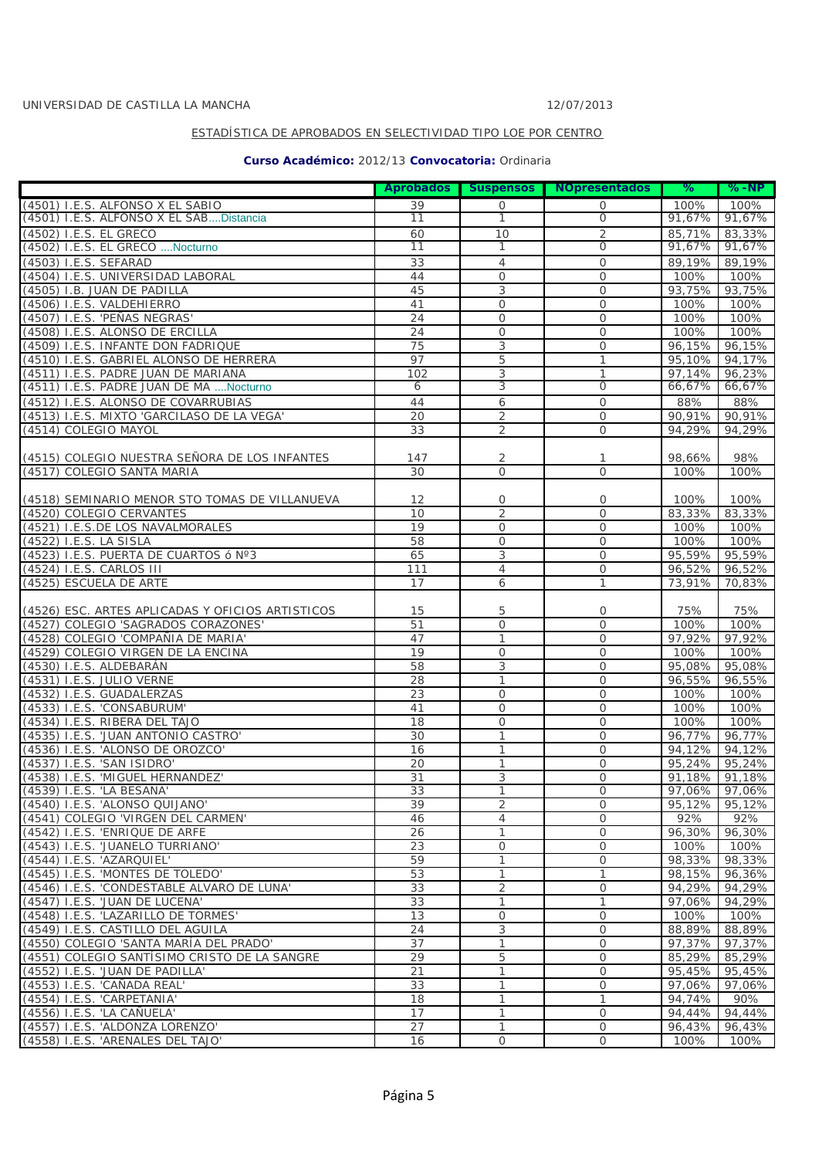### Aprobados Suspensos NOpresentados % %-NP (4501) I.E.S. ALFONSO X EL SABIO 39 0 0 100% 100% (4501) I.E.S. ALFONSO X EL SAB....Distancia 11 1 1 1 0 91,67% 91,67% 91,67% (4502) I.E.S. EL GRECO 60 10 2 85,71% 83,33% (4502) I.E.S. EL GRECO ....Nocturno 11 1 0 91,67% 91,67% (4503) I.E.S. SEFARAD 33 4 0 89,19% 89,19% (4504) I.E.S. UNIVERSIDAD LABORAL 44 0 0 100% 100% (4505) I.B. JUAN DE PADILLA (4505) 1.B. JUAN DE PADILLA (4506) I.E.S. VALDEHIERRO 41 0 0 100% 100% (4507) I.E.S. 'PEÑAS NEGRAS' 24 0 0 100% 100% (4508) I.E.S. ALONSO DE ERCILLA 24 0 0 100% 100% (4509) I.E.S. INFANTE DON FADRIQUE 75 75 3 0 96,15% 96,15% 96,15% (4510) I.E.S. GABRIEL ALONSO DE HERRERA 97 5 1 95,10% 94,17% (4511) I.E.S. PADRE JUAN DE MARIANA 102 3 1 97,14% 96,23%<br>(4511) I.E.S. PADRE JUAN DE MA ... Nocturno 6 3 0 66.67% 66.67% (4511) I.E.S. PADRE JUAN DE MA ....Nocturno 66 (4512) I.E.S. ALONSO DE COVARRUBIAS (44 f) 6 0 88% 88% (4513) I.E.S. MIXTO 'GARCILASO DE LA VEGA' 20 2 0 90,91% 90,91% (4514) COLEGIO MAYOL **2 2 0 94.29% 94.29% 94.29%** (4515) COLEGIO NUESTRA SEÑORA DE LOS INFANTES 147 2 1 98,66% 98% (4517) COLEGIO SANTA MARIA 20 0 0 100% 100% 100% (4518) SEMINARIO MENOR STO TOMAS DE VILLANUEVA 12 0 0 100% 100% (4520) COLEGIO CERVANTES 10 10 2 0 83,33% 83,33% (4521) I.E.S.DE LOS NAVALMORALES 19 0 0 100% 100% (4522) I.E.S. LA SISLA 58 0 0 100% 100% (4523) I.E.S. PUERTA DE CUARTOS ó N°3 65 65 3 0 95,59% 95,59% 95,59% (4524) I.E.S. CARLOS III 111 4 0 96,52% 96,52% (4525) ESCUELA DE ARTE 17 17 6 1 73,91% 70,83% (4526) ESC. ARTES APLICADAS Y OFICIOS ARTISTICOS 15 5 0 75% 75% (4527) COLEGIO 'SAGRADOS CORAZONES' 51 0 0 100% 100% (4528) COLEGIO 'COMPAÑIA DE MARIA'  $\overline{1}$  47 1 1 0 (4529) COLEGIO VIRGEN DE LA ENCINA 19 19 0 0 100% 100% 100% (4530) I.E.S. ALDEBARÁN 58 58 3 0 95,08% 95,08% 95,08% (4531) I.E.S. JULIO VERNE 28 1 0 96,55% 96,55% (4532) I.E.S. GUADALERZAS 23 0 0 100% 100% (4533) I.E.S. 'CONSABURUM' 41 0 0 100% 100% 100% (4534) I.E.S. RIBERA DEL TAJO 19 0 18 0 100% 100% 100% 100% (4535) I.E.S. 'JUAN ANTONIO CASTRO' 30 1 0 96,77% 96,77% (4536) I.E.S. 'ALONSO DE OROZCO' 16 16 16 1 0 94,12% 94,12% (4537) I.E.S. 'SAN ISIDRO' 20 1 0 95,24% 95,24% (4538) I.E.S. 'MIGUEL HERNANDEZ' 31 3 0 91,18% 91,18% (4539) I.E.S. 'LA BESANA' 33 1 0 97,06% 97,06% (4540) I.E.S. 'ALONSO QUIJANO' 39 2 0 95,12% 95,12% (4541) COLEGIO 'VIRGEN DEL CARMEN' 46 4 0 92% 92% (4542) I.E.S. 'ENRIQUE DE ARFE 26 26 1 0 96,30% 96,30% 96,30% (4543) I.E.S. 'JUANELO TURRIANO' 23 0 0 100% 100% (4544) I.E.S. 'AZARQUIEL' 59 1 0 98,33% 98,33% (4545) I.E.S. 'MONTES DE TOLEDO' 53 1 1 1 98,15% (4546) I.E.S. 'CONDESTABLE ALVARO DE LUNA' 33 2 0 94,29% 94,29% (4547) I.E.S. 'JUAN DE LUCENA' 33 1 1 97,06% 94,29% (4548) I.E.S. 'LAZARILLO DE TORMES' 13 0 0 100% 100% (4549) I.E.S. CASTILLO DEL AGUILA 24 3 0 88,89% 88,89% (4550) COLEGIO 'SANTA MARÍA DEL PRADO' 37 1 0 97,37% 97,37% (4551) COLEGIO SANTÍSIMO CRISTO DE LA SANGRE 29 5 0 85,29% 85,29% (4552) I.E.S. 'JUAN DE PADILLA' 21 1 0 95,45% 95,45% (4553) I.E.S. 'CAÑADA REAL' 33 1 0 97,06% 97,06% (4554) I.E.S. 'CARPETANIA' 18 1 1 94,74% 90% (4556) I.E.S. 'LA CAÑUELA' 17 1 0 94,44% 94,44% (4557) I.E.S. 'ALDONZA LORENZO' 27 1 0 96,43% 96,43% (4558) I.E.S. 'ARENALES DEL TAJO' 16 0 0 100% 100%